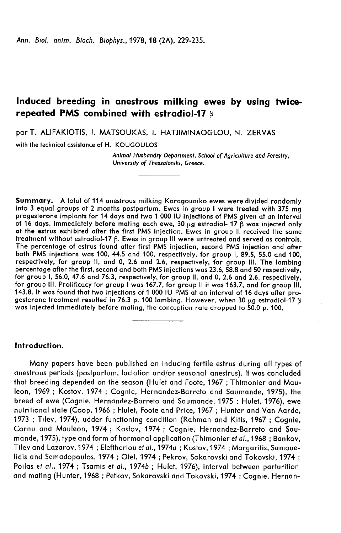Ann. Biol. anim. Bioch. Biophys., 1978, 18 (2A), 229-235.

# Induced breeding in anestrous milking ewes by using twicerepeated PMS combined with estradiol-17 β

T. ALIFAKIOTIS, I. MATSOUKAS, I. HATJIMINAOGLOU, N. ZERVAS

with the technical assistance of H. KOUGOULOS

Animal Husbandry Department, School of Agriculture and Forestry, University of Thessaloniki, Greece.

Summary. A total of 114 anestrous milking Karagouniko ewes were divided randomly into 3 equal groups at 2 months postpartum. Ewes in group I were treated with 375 mg progesterone implants for 14 days and two 1 000 IU injections of PMS given at an interval of 16 days. Immediately before mating each ewe, 30  $\mu$ g estradiol- 17  $\beta$  was injected only at the estrus exhibited after the first PMS injection. Ewes in group II received the same treatment without estradiol-17  $\beta$ . Ewes in group III were untreated and served as controls. The percentage of estrus found after first PMS injection, second PMS injection and after both PMS injections was 100, 44.5 and 100, respectively, for group 1, 89.5, 55.0 and 100, respectively, for group II, and 0, 2.6 and 2.6, respectively, for group III. The lambing<br>percentage after the first, second and both PMS injections was 23.6, 58.8 and 50 respectively, percentage after the first, second and both PMS injections was 23.6, 58.8 and 50 respectively, for group 1, 56.0, 47.6 and 76.3, respectively, for group II, and 0, 2.6 and 2.6, respectively, for group 111. Prolificacy for group I was 167.7, for group II it was 163.7, and for group 111, 143.8. It was found that two injections of 1 000 IU PMS at an interval of 16 days after pro-<br>gesterone treatment resulted in 76.3 p. 100 lambing. However, when 30  $\mu$ g estradiol-17  $\beta$ gesterated immediately before mating, the conception rate dropped to 50.0 p. 100.

### Introduction.

Many papers have been published on inducing fertile estrus during all types of anestrous periods (postpartum, lactation and/or seasonal anestrus). It was concluded that breeding depended on the season (Hulet and Foote, 1967 ; Thimonier and Mauleon, 1969 ; Kostov, 1974 ; Cognie, Hernandez-Barreto and Saumande, 1975), the breed of ewe (Cognie, Hernandez-Barreto and Saumande, 1975 ; Hulet, 1976), ewe nutritional state (Coop, 1966 ; Hulet, Foote and Price, 1967 ; Hunter and Van Aarde, 1973 ; Tilev, 1974), udder functioning condition (Rahman and Kitts, 1967 ; Cognie, Cornu and Mauleon, 1974 ; Kostov, 1974 ; Cognie, Hernandez-Barreto and Saumande, 1975), type and form of hormonal application (Thimonier et al., 1968 ; Bankov, Tilev and Lazarov,1974 ; Eleftheriou et al., 1974a ; Kostov,1974 ; Margaritis, Samouelidis and Semadopoulos, 1974 ; Otel, 1974 ; Pekrov, Sokarovski and Tokovski, 1974 ; Poilas et al., 1974 ; Tsamis et al., 1974b ; Hulet, 1976), interval between parturition and mating (Hunter, 1968 ; Petkov, Sokarovski and Tokovski, 1974 ; Cognie, Hernan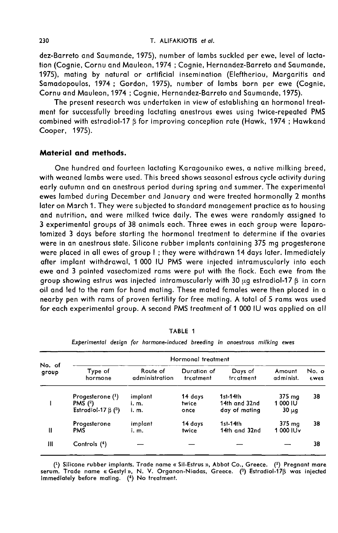dez-Barreto and Saumande, 1975), number of lambs suckled per ewe, level of lcictation (Cognie, Cornu and Mauleon,1974 ; Cognie, Hernandez-Barreto and Saumande, 1975), mating by natural or artificial insemination (Eleftheriou, Margaritis and Samadopoulos, 1974 ; Gordon, 1975), number of lambs born per ewe (Cognie, Cornu and Mauleon, 1974 ; Cognie, Hernandez-Barreto and Saumande, 1975).

The present research was undertaken in view of establishing an hormonal treatment for successfully breeding lactating anestrous ewes using twice-repeated PMS combined with estradiol-17 B for improving conception rate (Hawk, 1974 ; Hawkand Cooper, 1975).

#### Material and methods.

One hundred and fourteen lactating Karagouniko ewes, a native milking breed, with weaned lambs were used. This breed shows seasonal estrous cycle activity during early autumn and an anestrous period during spring and summer. The experimental ewes lambed during December and January and were treated hormonally 2 months later on March 1. They were su bjected to standard management practice as to housing and nutrition, and were milked twice daily. The ewes were randomly assigned to 3 experimental groups of 38 animals each. Three ewes in each group were laparotomized 3 days before starting the hormonal treatment to determine if the ovaries were in an anestrous state. Silicone rubber implants containing 375 mg progesterone were placed in all ewes of group I ; they were withdrawn 14 days later. Immediately after implant withdrawal, 1 000 IU PMS were injected intramuscularly into each ewe and 3 painted vasectomized rams were put with the flock. Each ewe from the group showing estrus was injected intramuscularly with 30  $\mu$ q estradiol-17  $\beta$  in corn oil and led to the ram for hand mating. These mated females were then placed in a nearby pen with rams of proven fertility for free mating. A total of 5 rams was used for each experimental group. A second PMS treatment of 1 000 IU was applied on all

|                 | Hormonal treatment                                                          |                            |                          |                                            |                                  |               |  |  |
|-----------------|-----------------------------------------------------------------------------|----------------------------|--------------------------|--------------------------------------------|----------------------------------|---------------|--|--|
| No. of<br>group | Type of<br>hormone                                                          | Route of<br>administration | Duration of<br>treatment | Days of<br>treatment                       | Amount<br>administ.              | No. o<br>ewes |  |  |
|                 | Progesterone $(1)$<br>PMS $(^{2})$<br>Estradiol-17 $\beta$ ( <sup>3</sup> ) | implant<br>i. m.<br>i. m.  | 14 days<br>twice<br>once | 1st-14th<br>14th and 32nd<br>day of mating | 375 ma<br>1 000 IU<br>$30 \mu g$ | 38            |  |  |
| Ш               | Progesterone<br><b>PMS</b>                                                  | implant<br>i. m.           | 14 days<br>twice         | $1st-14th$<br>14th and 32nd                | 375 mg<br>1 000 IU <sub>Y</sub>  | 38            |  |  |
| Ш               | Controls (4)                                                                |                            |                          |                                            |                                  | 38            |  |  |

TABLE 1

Experimental design for hormone-induced breeding in anoestrous milking ewes

(1) Silicone rubber implants. Trade name « Sil-Estrus », Abbot Co., Greece. (2) Pregnant mare serum. Trade name «Gestyl», N. V. Organon-Niadas, Greece. (3) Estradiol-173 was injected immediately before mating. (4) No treatment.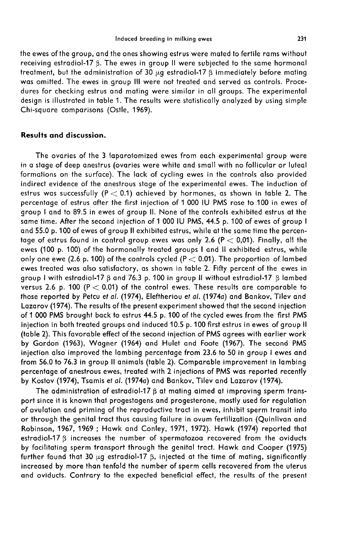the ewes of the group, and the ones showing estrus were mated to fertile rams without receiving estradiol-17  $\beta$ . The ewes in group II were subjected to the same hormonal treatment, but the administration of 30  $\mu$ g estradiol-17  $\beta$  immediately before mating was omitted. The ewes in group III were not treated and served as controls. Procedures for checking estrus and mating were similar in all groups. The experimental design is illustrated in table 1. The results were statistically analyzed by using simple Chi-square comparisons (Ostle, 1969).

## Results and discussion.

The ovaries of the 3 laparotomized ewes from each experimental group were in a stage of deep anestrus (ovaries were white and small with no follicular or luteal formations on the surface). The lack of cycling ewes in the controls also provided indirect evidence of the anestrous stage of the experimental ewes. The induction of estrus was successfully (P  $<$  0.1) achieved by hormones, as shown in table 2. The percentage of estrus after the first injection of 1 000 IU PMS rose to 100 in ewes of group I and to 89.5 in ewes of group II. None of the controls exhibited estrus at the same time. After the second injection of 1 000 IU PMS, 44.5 p. 100 of ewes of group I and 55.0 p. 100 of ewes of group II exhibited estrus, while at the same time the percentage of estrus found in control group ewes was only 2.6 ( $P < 0.01$ ). Finally, all the ewes (100 p. 100) of the hormonally treated groups I and 11 exhibited estrus, while only one ewe (2.6 p. 100) of the controls cycled (P  $<$  0.01). The proportion of lambed ewes treated was also satisfactory, as shown in table 2. Fifty percent of the ewes in group I with estradiol-17  $\beta$  and 76.3 p. 100 in group II without estradiol-17  $\beta$  lambed versus 2.6 p. 100 ( $P < 0.01$ ) of the control ewes. These results are comparable to those reported by Petcu et al. (1974), Eleftheriou et al. (1974a) and Bankov, Tilev and Lazarov (1974). The results of the present experiment showed that the second injection of 1 000 PMS brought back to estrus 44.5 p. 100 of the cycled ewes from the first PMS injection in both treated groups and induced 10.5 p. 100 first estrus in ewes of group 11 (table 2). This favorable effect of the second injection of PMS agrees with earlier work by Gordon (1963), Wagner (1964) and Hulet and Foote (1967). The second PMS injection also improved the lambing percentage from 23.6 to 50 in group I ewes and from 56.0 to 76.3 in group II animals (table 2). Comparable improvement in lambing percentage of anestrous ewes, treated with 2 injections of PMS was reported recently by Kostov (1974), Tsamis et al. (1974a) and Bankov, Tilev and Lazarov (1974).

The administration of estradiol-17  $\beta$  at mating aimed at improving sperm transport since it is known that progestagens and progesterone, mostly used for regulation of ovulation and priming of the reproductive tract in ewes, inhibit sperm transit into or through the genital tract thus causing failure in ovum fertilization (Quinlivan and Robinson, 1967, 1969 ; Hawk and Conley, 1971, 1972). Hawk (1974) reported that estradiol-17  $\beta$  increases the number of spermatozoa recovered from the oviducts by facilitating sperm transport through the genital tract. Hawk and Cooper (1975) further found that 30  $\mu$ g estradiol-17  $\beta$ , injected at the time of mating, significantly increased by more than tenfold the number of sperm cells recovered from the uterus and oviducts. Contrary to the expected beneficial effect, the results of the present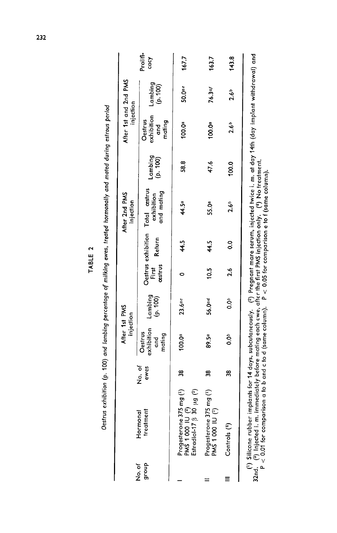|                |                                                                                                                           |                | After 1st PMS<br>injection                  |                     |                  |        | After 2nd PMS<br>injection                                                                                                                                      |                     | After 1st and 2nd PMS<br>injection     |                    |                  |
|----------------|---------------------------------------------------------------------------------------------------------------------------|----------------|---------------------------------------------|---------------------|------------------|--------|-----------------------------------------------------------------------------------------------------------------------------------------------------------------|---------------------|----------------------------------------|--------------------|------------------|
| group<br>No.of | treatment<br>Hormonal                                                                                                     | No. of<br>ewes | exhibition<br>Oestrus<br>mating<br>and<br>G | Lambing<br>(p. 100) | cestrus<br>First | Return | Oestrus exhibition Total astrus<br>and mating<br>exhibition                                                                                                     | Lambing<br>(p. 100) | exhibition<br>Oestrus<br>mating<br>gup | Lambing<br>(p.100) | Prolifi-<br>cacy |
|                | Progesterone 375 mg ( <sup>1</sup> )<br>PMS 1 000 IU ( <sup>2</sup> )<br>Estradiol-17 $\beta$ 30 $\mu$ g ( <sup>3</sup> ) | $\frac{8}{2}$  | 100.0 <sup>a</sup>                          | 23.6ac              | 0                | 44.5   | 44.5ª                                                                                                                                                           | 58.8                | 100.0 <sup>a</sup>                     | 50.0 <sup>ae</sup> | 167.7            |
|                | Progesterone 375 mg $\binom{1}{2}$<br>PMS 1 000 IU $\binom{2}{2}$                                                         | 38             | 89.5a                                       | 56.0ad              | 10.5             | 44.5   | 55.0ª                                                                                                                                                           | 47.6                | $100 \cdot 0^a$                        | 76.3af             | 163.7            |
|                | Controls <sup>(4)</sup>                                                                                                   | 38             | 0.0 <sup>b</sup>                            | 0.0 <sub>b</sub>    | 2.6              | °0     | $2.6^{b}$                                                                                                                                                       | 100.0               | $2.6^{o}$                              | 2.6 <sup>b</sup>   | 143.8            |
|                | ( <sup>1</sup> ) Silicone rubber i<br>32nd - (3) Injected i. m                                                            |                |                                             |                     |                  |        | implants for 14 days, subcutaneously. ( <sup>2</sup> ) Pregnant mare serum, injected twice i. m. at day 14th (day implant withdrawal) and<br>immodiately before |                     |                                        |                    |                  |

Oestrus exhibition (p. 100) and lambing percentage of milking ewes, treated hormonally and mated during estrous period

TABLE 2

32nd.  $\binom{9}{7}$  Injected 1. m. immediately before mating each ewe, after the first PMS injection only.  $\binom{4}{7}$  No treatment.  $\Gamma < 0.01$  for comparison a to b and c to d (same column).  $\Gamma < 0.05$  for comparison e to f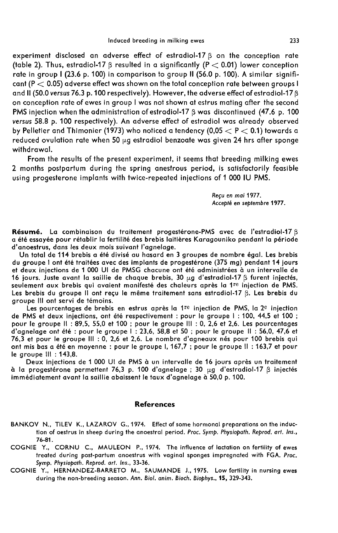experiment disclosed an adverse effect of estradiol-17 $\beta$  on the conception rate (table 2). Thus, estradiol-17  $\beta$  resulted in a significantly (P  $<$  0.01) lower conception rate in group I (23.6 p. 100) in comparison to group II (56.0 p. 100). A similar significant ( $P < 0.05$ ) adverse effect was shown on the total conception rate between groups I and II (50.0 versus 76.3 p. 100 respectively). However, the adverse effect of estradiol-17 ß on conception rate of ewes in group I was not shown at estrus mating after the second PMS injection when the administration of estradiol-17  $\beta$  was discontinued (47.6 p. 100 versus 58.8 p. 100 respectively). An adverse effect of estradiol was already observed by Pelletier and Thimonier (1973) who noticed a tendency (0,05  $<$  P  $<$  0.1) towards a reduced ovulation rate when 50  $\mu$ g estradiol benzoate was given 24 hrs after sponge withdrawal.

From the results of the present experiment, it seems that breeding milking ewes 2 months postpartum during the spring anestrous period, is satisfactorily feasible using progesterone implants with twice-repeated injections of 1 000 IU PMS.

> Recu en mai 1977. Accepté en septembre 1977.

Résumé. La combinaison du traitement progestérone-PMS avec de l'estradiol-17 ß a été essayée pour rétablir la fertilité des brebis laitières Karagouniko pendant la période d'anoestrus, dans les deux mois suivant l'agnelage.

Un total de 114 brebis a été divisé au hasard en 3 groupes de nombre égal. Les brebis et deux injections de 1 000 Ul de PMSG chacune ont été administrées à un intervalle de 16 jours. Juste avant la saillie de chaque brebis, 30  $\mu$ g d'estradiol-17  $\beta$  furent injectés, seulement aux brebis qui avaient manifesté des chaleurs après la 1<sup>re</sup> injection de PMS. Les brebis du groupe II ont reçu le même traitement sans estradiol-17 ß. Les brebis du groupe III ont servi de témoins.

Les pourcentages de brebis en estrus après la 1 $^{\text{re}}$  injection de PMS, la 2<sup>e</sup> injection de PMS et deux injections, ont été respectivement : pour le groupe 1 : 100, 44,5 et 100 ; pour le groupe Il : 89,5, 55,0 et 100 ; pour le groupe III : 0, 2,6 et 2,6. Les pourcentages d'agnelage ont été : pour le groupe 1 : 23,6, 58,8 et 50 ; pour le groupe Il : 56,0, 47,6 et 76,3 et pour le groupe III : 0, 2,6 et 2,6. Le nombre d'agneaux nés pour 100 brebis qui ont mis bas a été en moyenne : pour le groupe 1, 167,7 ; pour le groupe Il : 163,7 et pour le groupe Ili : 143,8.

Deux injections de 1 000 Ul de PMS à un intervalle de 16 jours après un traitement à la progestérone permettent 76,3 p. 100 d'agnelage ; 30  $\mu$ g d'estradiol-17  $\beta$  injectés immédiatement avant la saillie abaissent le taux d'agnelage à 50,0 p. 100.

#### References

- BANKOV N., TILEV K., LAZAROV G., 1974. Effect of some hormonal preparations on the induction of oestrus in sheep during the anoestral period. Proc. Symp. Physiopath. Reprod. art. Ins., 76-81.
- COGNIE Y., CORNU C., MAULEON P., 1974. The influence of lactation on fertility of ewes treated during post-partum anoestrus with vaginal sponges impregnated with FGA. Proc. Symp. Physiopath. Reprod. art. Ins., 33-36.
- COGNIE Y., HERNANDEZ-BARRETO M., SAUMANDE J., 1975. Low fertility in nursing ewes during the non-breeding season. Ann. Biol. anim. Bioch. Biophys., 15, 329-343.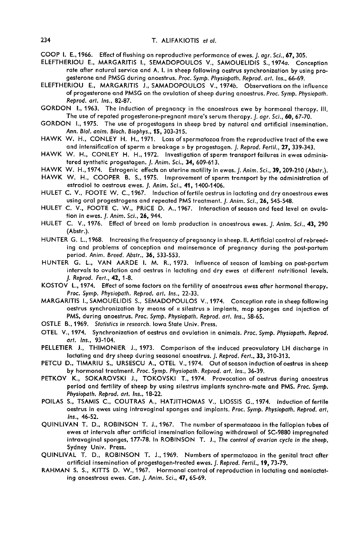- COOP 1. E., 1966. Effect of flushing on reproductive performance of ewes. *J. agr. Sci.*, 67, 305.
- ELEFTHERIOU E., MARGARITIS I., SEMADOPOULOS V., SAMOUELIDIS S., 1974a. Conception rate after natural service and A. I. in sheep following oestrus synchronization by using progesterone and PMSG during anoestrus. Proc. Symp. Physiopath. Reprod. art. Ins., 66-69.
- ELEFTHERIOU E., MARGARITIS J., SAMADOPOULOS V.,1974b. Observations on the influence of progesterone and PMSG on the ovulation of sheep during anoestrus. Proc. Symp. Physiopath. Reprod. art. Ins., 82-87.
- GORDON 1., 1963. The induction of pregnancy in the anoestrous ewe by hormonal therapy. 111. The use of repated progesterone-pregnant mare's serum therapy. *J. agr. Sci.*, 60, 67-70.
- GORDON 1., 1975. The use of progestagens in sheep bred by natural and artificial insemination. Ann. Biol. anim. Bioch. Biophys., 15, 303-315.
- HAWK W. H., CONLEY H. H., 1971. Loss of spermatozoa from the reproductive tract of the ewe and intensification of sperm « breakage » by progestagen. J. Reprod. Fertil., 27, 339-343.
- HAWK W. H., CONLEY H. H., 1972. Investigation of sperm transport failures in ewes administered synthetic progestagen. J. Anim. Sci., 34, 609-613.
- HAWK W. H., 1974. Estrogenic effects on uterine motility in ewes. J. Anim. Sci., 39, 209-210 (Abstr.).<br>HAWK W. H., COOPER B. S., 1975. Improvement of sperm transport by the administration of
- estradiol to oestrous ewes. J. Anim. Sci., 41, 1400-1406.
- HULET C. V., FOOTE W. C., 1967. Induction of fertile oestrus in lactating and dry anoestrous ewes using oral progestrogens and repeated PMS treatment. J. Anim. Sci., 26, 545-548.
- HULET C. V., FOOTE C. W., PRICE D. A., 1967. Interaction of season and feed level on ovulation in ewes. J. Anim. Sci., 26, 944.
- HULET C. V., 1976. Effect of breed on lamb production in anoestrous ewes. J. Anim. Sci., 43, 290 (Abstr.).
- HUNTER G. L.,1968. Increasing the frequency of pregnancy in sheep. II. Artificial control of rebreeding and problems of conception and mainsemance of pregnancy during the post-partum period. Anim. Breed. Abstr., 36, 533-553.
- HUNTER G. L., VAN AARDE I. M. R., 1973. Influence of season of lambing on post-partum intervals to ovulation and oestrus in lactating and dry ewes at different nutritional levels. J. Reprod. Fert., 42, 1-8.
- KOSTOV L., 1974. Effect of some factors on the fertility of anoestrous ewes after hormonal therapy. Proc. Symp. Physiopoth. Reprod. art. Ins., 22-33.
- MARGARITIS I., SAMOUELIDIS S., SEMADOPOULOS V.,1974. Conception rate in sheep following oestrus synchronization by means of « silestrus » implants, map sponges and injection of PMS, during anoestrus. Proc. Symp. Physiopath. Reprod. art. Ins., 58-65.
- OSTLE B., 1969. Statistics in research. Iowa State Univ. Press.
- OTEL V., 1974. Synchronization of oestrus and ovulation in animals. Proc. Symp. Physiopoth. Reprod. art. Ins., 93-104.
- PELLETIER J., THIMONIER J., 1973. Comparison of the induced preovulatory LH discharge in lactating and dry sheep during seasonal anoestrus. J. Reprod. Fert., 33, 310-313.
- PETCU D., TIMARIU S., URSESCU A., OTEL V., 1974. Out of season induction of oestrus in sheep by hormonal treatment. Proc. Symp. Physiopoth. Reprod. art. Ins., 36-39.
- PETKOV K., SOKAROVSKI J., TOKOVSKI T., 1974. Provocation of oestrus during anoestrus period and fertility of sheep by using silestrus implants synchro-mate and PMS. Proc. Symp. Physiopath. Reprod. art. Ins., 18-22.
- POILAS S., TSAMIS C., COUTRAS A., HATJITHOMAS V., LIOSSIS G., 1974. Induction of fertile oestrus in ewes using intravaginal sponges and implants. Proc. Symp. Physiopath. Reprod. art, Ins., 46-52.
- QUINLIVAN T. D., ROBINSON T. J., 1967. The number of spermatozoa in the fallopian tubes of ewes at intervals after artificial insemination following withdrawal of SC-9880 impregnated intravaginal sponges, 177-78. In ROBINSON T. J., The control of ovarian cycle in the sheep, Sydney Univ. Press.
- QUINLIVAL T. D., ROBINSON T. J., 1969. Numbers of spermatozoa in the genital tract after artificial insemination of progestagen-treated ewes. *J. Reprod. Fertil.*, 19, 73-79.
- RAHMAN S. S., KITTS D. W., 1967. Hormonal control of reproduction in lactating and nonlactating anoestrous ewes. Can. J. Anim. Sci., 47, 65-69.